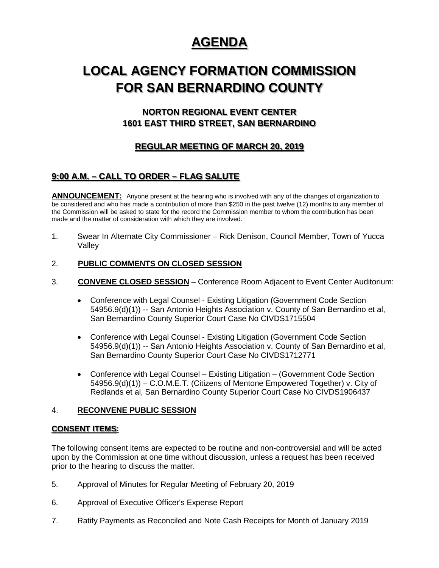# **AGENDA**

# **LOCAL AGENCY FORMATION COMMISSION FOR SAN BERNARDINO COUNTY**

## **NORTON REGIONAL EVENT CENTER 1601 EAST THIRD STREET, SAN BERNARDINO**

## **REGULAR MEETING OF MARCH 20, 2019**

## **9:00 A.M. – CALL TO ORDER – FLAG SALUTE**

**ANNOUNCEMENT:** Anyone present at the hearing who is involved with any of the changes of organization to be considered and who has made a contribution of more than \$250 in the past twelve (12) months to any member of the Commission will be asked to state for the record the Commission member to whom the contribution has been made and the matter of consideration with which they are involved.

1. Swear In Alternate City Commissioner – Rick Denison, Council Member, Town of Yucca Valley

### 2. **PUBLIC COMMENTS ON CLOSED SESSION**

- 3. **CONVENE CLOSED SESSION** Conference Room Adjacent to Event Center Auditorium:
	- Conference with Legal Counsel Existing Litigation (Government Code Section 54956.9(d)(1)) -- San Antonio Heights Association v. County of San Bernardino et al, San Bernardino County Superior Court Case No CIVDS1715504
	- Conference with Legal Counsel Existing Litigation (Government Code Section 54956.9(d)(1)) -- San Antonio Heights Association v. County of San Bernardino et al, San Bernardino County Superior Court Case No CIVDS1712771
	- Conference with Legal Counsel Existing Litigation (Government Code Section 54956.9(d)(1)) – C.O.M.E.T. (Citizens of Mentone Empowered Together) v. City of Redlands et al, San Bernardino County Superior Court Case No CIVDS1906437

### 4. **RECONVENE PUBLIC SESSION**

### **CONSENT ITEMS:**

The following consent items are expected to be routine and non-controversial and will be acted upon by the Commission at one time without discussion, unless a request has been received prior to the hearing to discuss the matter.

- 5. Approval of Minutes for Regular Meeting of February 20, 2019
- 6. Approval of Executive Officer's Expense Report
- 7. Ratify Payments as Reconciled and Note Cash Receipts for Month of January 2019